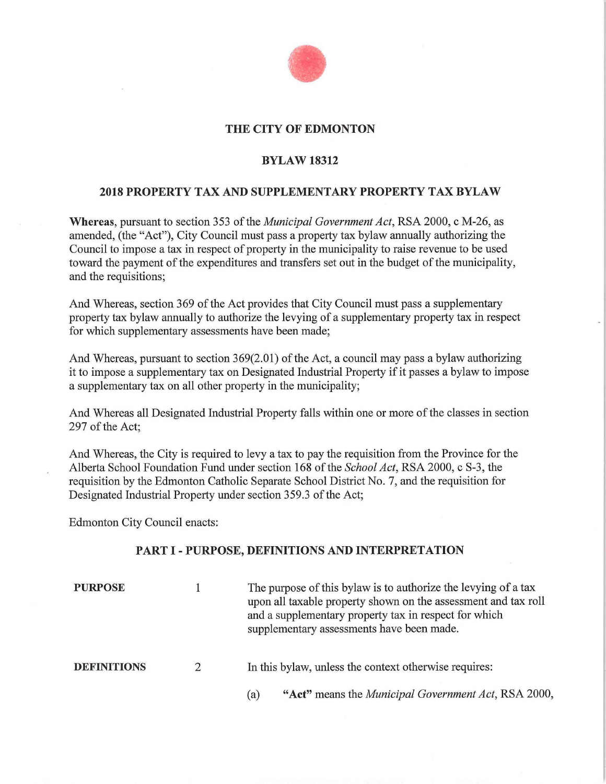

### **THE CITY OF EDMONTON**

### **BYLAW 18312**

### **2018 PROPERTY TAX AND SUPPLEMENTARY PROPERTY TAX BYLAW**

**Whereas,** pursuant to section 353 of the *Municipal Government Act,* RSA 2000, c M-26, as amended, (the "Act"), City Council must pass a property tax bylaw annually authorizing the Council to impose a tax in respect of property in the municipality to raise revenue to be used toward the payment of the expenditures and transfers set out in the budget of the municipality, and the requisitions;

And Whereas, section 369 of the Act provides that City Council must pass a supplementary property tax bylaw annually to authorize the levying of a supplementary property tax in respect for which supplementary assessments have been made;

And Whereas, pursuant to section 369(2.01) of the Act, a council may pass a bylaw authorizing it to impose a supplementary tax on Designated Industrial Property if it passes a bylaw to impose a supplementary tax on all other property in the municipality;

And Whereas all Designated Industrial Property falls within one or more of the classes in section 297 of the Act;

And Whereas, the City is required to levy a tax to pay the requisition from the Province for the Alberta School Foundation Fund under section 168 of the *School Act,* RSA 2000, c S-3, the requisition by the Edmonton Catholic Separate School District No. 7, and the requisition for Designated Industrial Property under section 359.3 of the Act;

Edmonton City Council enacts:

### **PART** I - **PURPOSE, DEFINITIONS AND INTERPRETATION**

| <b>PURPOSE</b>     |               | The purpose of this bylaw is to authorize the levying of a tax<br>upon all taxable property shown on the assessment and tax roll<br>and a supplementary property tax in respect for which<br>supplementary assessments have been made. |
|--------------------|---------------|----------------------------------------------------------------------------------------------------------------------------------------------------------------------------------------------------------------------------------------|
| <b>DEFINITIONS</b> | $\mathcal{D}$ | In this bylaw, unless the context otherwise requires:                                                                                                                                                                                  |
|                    |               | "Act" means the <i>Municipal Government Act</i> , RSA 2000,<br>(a)                                                                                                                                                                     |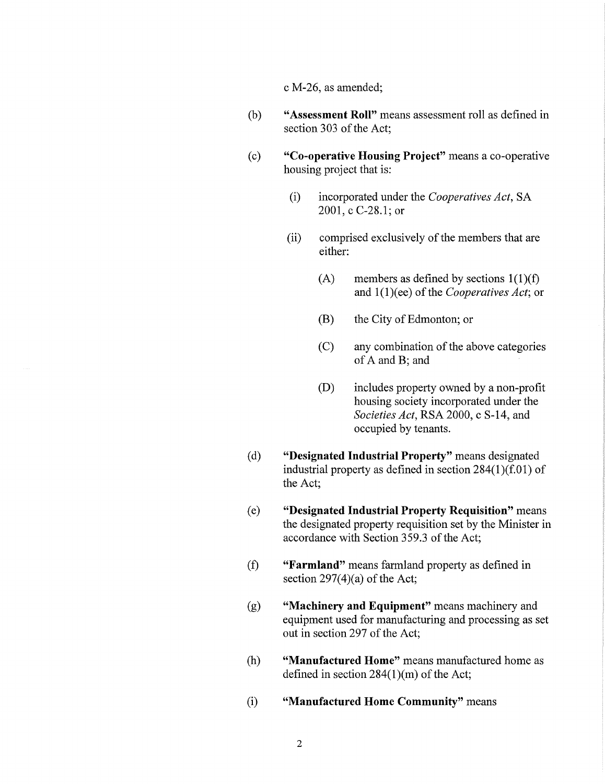c M-26, as amended;

- (b) **"Assessment Roll"** means assessment roll as defined in section 303 of the Act;
- ( c) **"Co-operative Housing Project"** means a co-operative housing project that is:
	- (i) incorporated under the *Cooperatives Act,* SA 2001, c C-28.1; or
	- (ii) comprised exclusively of the members that are either:
		- (A) members as defined by sections  $1(1)(f)$ and l(l)(ee) of the *Cooperatives Act;* or
		- (B) the City of Edmonton; or
		- (C) any combination of the above categories of A and B; and
		- (D) includes property owned by a non-profit housing society incorporated under the *Societies Act,* RSA 2000, c S-14, and occupied by tenants.
- ( d) **"Designated Industrial Property"** means designated industrial property as defined in section 284(1)(f.01) of the Act;
- ( e) **"Designated Industrial Property Requisition"** means the designated property requisition set by the Minister in accordance with Section 359.3 of the Act;
- (f) **"Farmland"** means farmland property as defined in section  $297(4)(a)$  of the Act;
- (g) **"Machinery and Equipment"** means machinery and equipment used for manufacturing and processing as set out in section 297 of the Act;
- (h) **"Manufactured Home"** means manufactured home as defined in section 284(1)(m) of the Act;
- (i) **"Manufactured Home Community"** means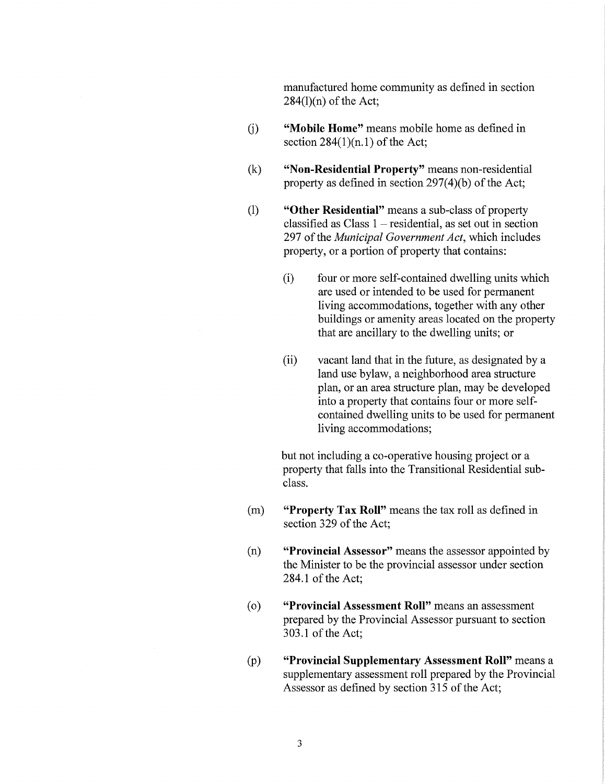manufactured home community as defined in section  $284(1)(n)$  of the Act;

- (i) **"Mobile Home"** means mobile home as defined in section  $284(1)(n.1)$  of the Act;
- (k) **"Non-Residential Property"** means non-residential property as defined in section 297(4)(b) of the Act;
- (1) **"Other Residential"** means a sub-class of property classified as  $Class 1 - residual$ , as set out in section 297 of the *Municipal Government Act,* which includes property, or a portion of property that contains:
	- (i) four or more self-contained dwelling units which are used or intended to be used for permanent living accommodations, together with any other buildings or amenity areas located on the property that are ancillary to the dwelling units; or
	- (ii) vacant land that in the future, as designated by a land use bylaw, a neighborhood area structure plan, or an area structure plan, may be developed into a property that contains four or more selfcontained dwelling units to be used for permanent living accommodations;

but not including a co-operative housing project or a property that falls into the Transitional Residential subclass.

- (m) **"Property Tax Roll"** means the tax roll as defined in section 329 of the Act;
- (n) **"Provincial Assessor"** means the assessor appointed by the Minister to be the provincial assessor under section 284.1 of the Act;
- ( o) **"Provincial Assessment Roll"** means an assessment prepared by the Provincial Assessor pursuant to section 303.1 of the Act;
- (p) **"Provincial Supplementary Assessment Roll"** means a supplementary assessment roll prepared by the Provincial Assessor as defined by section 315 of the Act;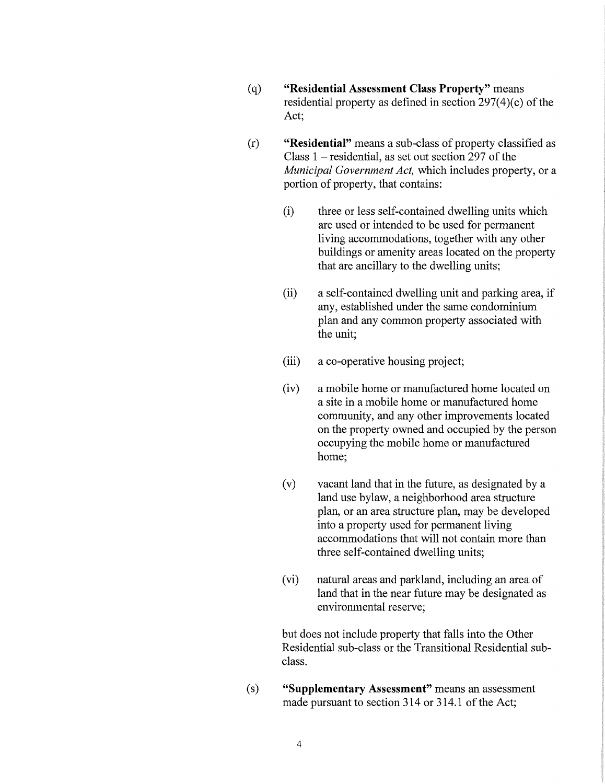- (q) **"Residential Assessment Class Property"** means residential property as defined in section 297(4)(c) of the Act;
- (r) **"Residential"** means a sub-class of property classified as Class  $1$  – residential, as set out section 297 of the *Municipal Government Act,* which includes property, or a portion of property, that contains:
	- (i) three or less self-contained dwelling units which are used or intended to be used for permanent living accommodations, together with any other buildings or amenity areas located on the property that are ancillary to the dwelling units;
	- (ii) a self-contained dwelling unit and parking area, if any, established under the same condominium plan and any common property associated with the unit;
	- (iii) a co-operative housing project;
	- (iv) a mobile home or manufactured home located on a site in a mobile home or manufactured home community, and any other improvements located on the property owned and occupied by the person occupying the mobile home or manufactured home;
	- (v) vacant land that in the future, as designated by a land use bylaw, a neighborhood area structure plan, or an area structure plan, may be developed into a property used for permanent living accommodations that will not contain more than three self-contained dwelling units;
	- (vi) natural areas and parkland, including an area of land that in the near future may be designated as environmental reserve;

but does not include property that falls into the Other Residential sub-class or the Transitional Residential subclass.

(s) **"Supplementary Assessment"** means an assessment made pursuant to section 314 or 314.1 of the Act;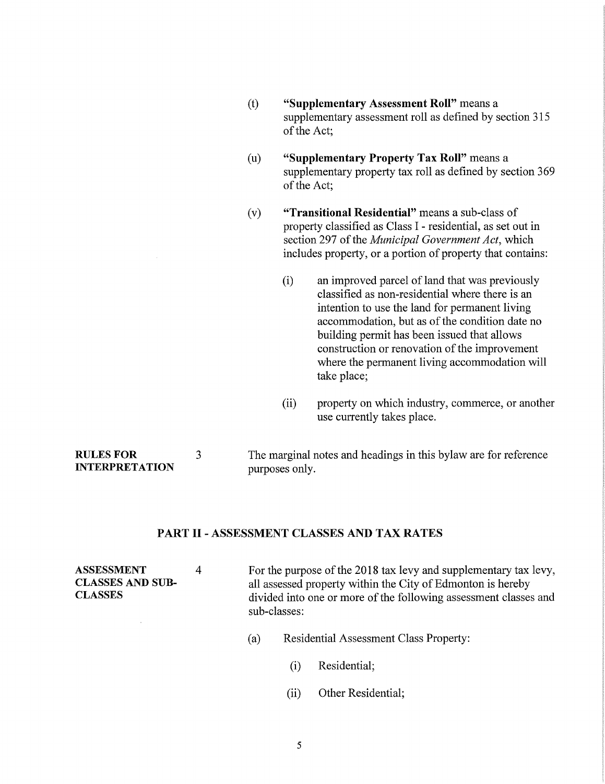- (t) **"Supplementary Assessment Roll"** means a supplementary assessment roll as defined by section 315 of the Act;
- (u) **"Supplementary Property Tax Roll"** means a supplementary property tax roll as defined by section 369 of the Act;
- (v) **"Transitional Residential"** means a sub-class of property classified as Class I - residential, as set out in section 297 of the *Municipal Government Act,* which includes property, or a portion of property that contains:
	- (i) an improved parcel of land that was previously classified as non-residential where there is an intention to use the land for permanent living accommodation, but as of the condition date no building permit has been issued that allows construction or renovation of the improvement where the permanent living accommodation will take place;
	- (ii) property on which industry, commerce, or another use currently takes place.

**RULESFOR INTERPRETATION**  3 The marginal notes and headings in this bylaw are for reference purposes only.

### **PART** II - **ASSESSMENT CLASSES AND TAX RATES**

| ASSESSMENT<br><b>CLASSES AND SUB-</b><br><b>CLASSES</b> | 4   |                                               | For the purpose of the 2018 tax levy and supplementary tax levy,<br>all assessed property within the City of Edmonton is hereby<br>divided into one or more of the following assessment classes and<br>sub-classes: |  |  |  |
|---------------------------------------------------------|-----|-----------------------------------------------|---------------------------------------------------------------------------------------------------------------------------------------------------------------------------------------------------------------------|--|--|--|
|                                                         | (a) | <b>Residential Assessment Class Property:</b> |                                                                                                                                                                                                                     |  |  |  |
|                                                         |     |                                               | Residential;                                                                                                                                                                                                        |  |  |  |

- 
- (ii) Other Residential;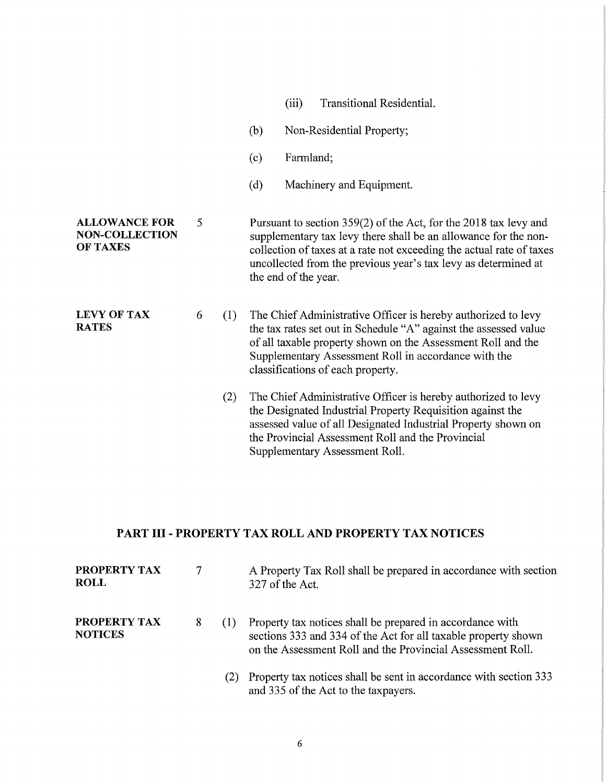|                                                                  |   |     |     | (iii)                | Transitional Residential.                                                                                                                                                                                                                                                                      |
|------------------------------------------------------------------|---|-----|-----|----------------------|------------------------------------------------------------------------------------------------------------------------------------------------------------------------------------------------------------------------------------------------------------------------------------------------|
|                                                                  |   |     | (b) |                      | Non-Residential Property;                                                                                                                                                                                                                                                                      |
|                                                                  |   |     | (c) | Farmland;            |                                                                                                                                                                                                                                                                                                |
|                                                                  |   |     | (d) |                      | Machinery and Equipment.                                                                                                                                                                                                                                                                       |
| <b>ALLOWANCE FOR</b><br><b>NON-COLLECTION</b><br><b>OF TAXES</b> | 5 |     |     | the end of the year. | Pursuant to section 359(2) of the Act, for the 2018 tax levy and<br>supplementary tax levy there shall be an allowance for the non-<br>collection of taxes at a rate not exceeding the actual rate of taxes<br>uncollected from the previous year's tax levy as determined at                  |
| <b>LEVY OF TAX</b><br><b>RATES</b>                               | 6 | (1) |     |                      | The Chief Administrative Officer is hereby authorized to levy<br>the tax rates set out in Schedule "A" against the assessed value<br>of all taxable property shown on the Assessment Roll and the<br>Supplementary Assessment Roll in accordance with the<br>classifications of each property. |
|                                                                  |   | (2) |     |                      | The Chief Administrative Officer is hereby authorized to levy<br>the Designated Industrial Property Requisition against the<br>assessed value of all Designated Industrial Property shown on<br>the Provincial Assessment Roll and the Provincial<br>Supplementary Assessment Roll.            |

## **PART III - PROPERTY TAX ROLL AND PROPERTY TAX NOTICES**

| PROPERTY TAX<br><b>ROLL</b>           | 7 | A Property Tax Roll shall be prepared in accordance with section<br>327 of the Act.                                                                                                       |
|---------------------------------------|---|-------------------------------------------------------------------------------------------------------------------------------------------------------------------------------------------|
| <b>PROPERTY TAX</b><br><b>NOTICES</b> | 8 | Property tax notices shall be prepared in accordance with<br>sections 333 and 334 of the Act for all taxable property shown<br>on the Assessment Roll and the Provincial Assessment Roll. |
|                                       |   | Property tax notices shall be sent in accordance with section 333<br>and 335 of the Act to the taxpayers.                                                                                 |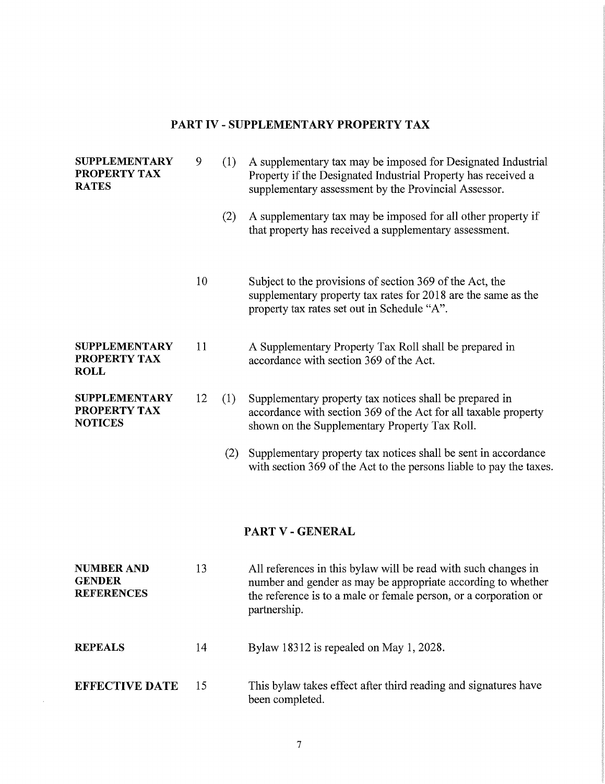### **PART IV - SUPPLEMENTARY PROPERTY TAX**

| <b>SUPPLEMENTARY</b><br>PROPERTY TAX<br><b>RATES</b>    | 9  | (1) | A supplementary tax may be imposed for Designated Industrial<br>Property if the Designated Industrial Property has received a<br>supplementary assessment by the Provincial Assessor.                              |
|---------------------------------------------------------|----|-----|--------------------------------------------------------------------------------------------------------------------------------------------------------------------------------------------------------------------|
|                                                         |    | (2) | A supplementary tax may be imposed for all other property if<br>that property has received a supplementary assessment.                                                                                             |
|                                                         | 10 |     | Subject to the provisions of section 369 of the Act, the<br>supplementary property tax rates for 2018 are the same as the<br>property tax rates set out in Schedule "A".                                           |
| <b>SUPPLEMENTARY</b><br>PROPERTY TAX<br><b>ROLL</b>     | 11 |     | A Supplementary Property Tax Roll shall be prepared in<br>accordance with section 369 of the Act.                                                                                                                  |
| <b>SUPPLEMENTARY</b><br>PROPERTY TAX<br><b>NOTICES</b>  | 12 | (1) | Supplementary property tax notices shall be prepared in<br>accordance with section 369 of the Act for all taxable property<br>shown on the Supplementary Property Tax Roll.                                        |
|                                                         |    | (2) | Supplementary property tax notices shall be sent in accordance<br>with section 369 of the Act to the persons liable to pay the taxes.                                                                              |
|                                                         |    |     | PART V - GENERAL                                                                                                                                                                                                   |
| <b>NUMBER AND</b><br><b>GENDER</b><br><b>REFERENCES</b> | 13 |     | All references in this bylaw will be read with such changes in<br>number and gender as may be appropriate according to whether<br>the reference is to a male or female person, or a corporation or<br>partnership. |
| <b>REPEALS</b>                                          | 14 |     | Bylaw 18312 is repealed on May 1, 2028.                                                                                                                                                                            |
| <b>EFFECTIVE DATE</b>                                   | 15 |     | This bylaw takes effect after third reading and signatures have<br>been completed.                                                                                                                                 |

 $\sim 10^{-1}$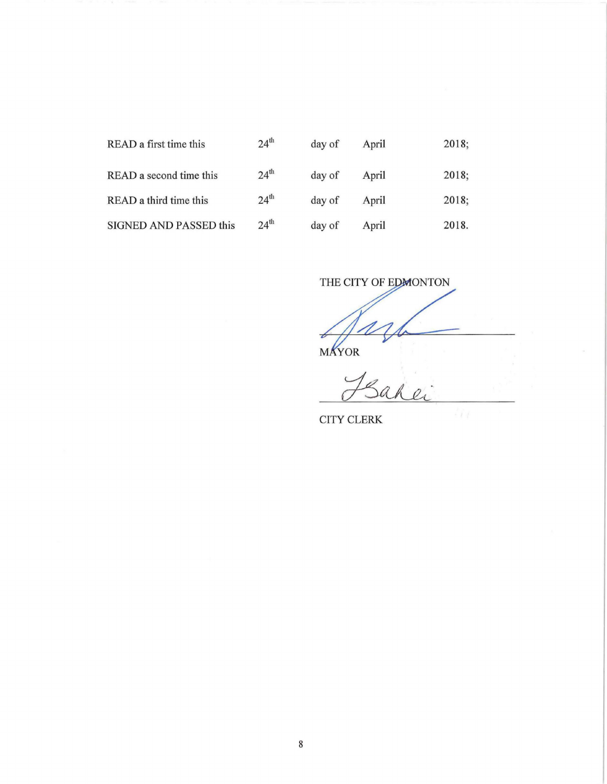| READ a first time this  | 24 <sup>th</sup> | day of | April | 2018; |
|-------------------------|------------------|--------|-------|-------|
| READ a second time this | 24 <sup>th</sup> | day of | April | 2018; |
| READ a third time this  | 24 <sup>th</sup> | day of | April | 2018; |
| SIGNED AND PASSED this  | 24 <sup>th</sup> | day of | April | 2018. |

| READ a first time this        | $24^{\circ}$     | day of | April | 2018: |
|-------------------------------|------------------|--------|-------|-------|
| READ a second time this       | 24 <sup>th</sup> | day of | April | 2018; |
| READ a third time this        | 24 <sup>th</sup> | day of | April | 2018; |
| <b>SIGNED AND PASSED this</b> | 24 <sup>th</sup> | day of | April | 2018. |

THE CITY OF EDMONTON  $M$ 

CITY CLERK